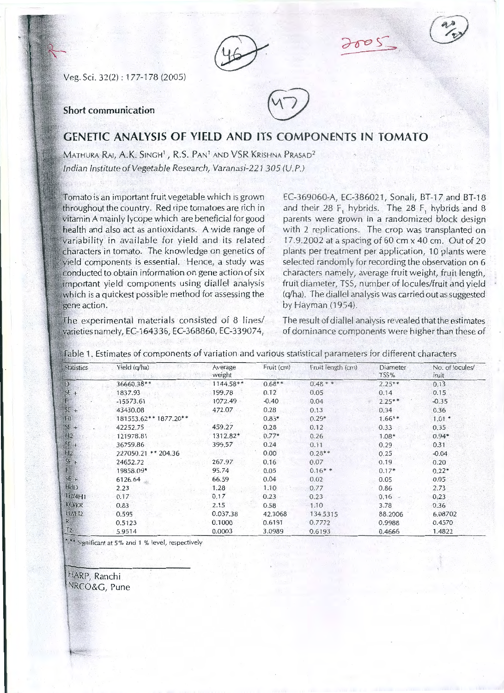Veg. Sci. 32(2) : 177-1 78 (2005)

## **Short communication**



## **GENETIC ANALYSIS OF YIELD AND ITS COMPONENTS IN TOMATO**

MATHURA RAI, A.K. SINGH<sup>1</sup>, R.S. PAN<sup>1</sup> AND VSR KRISHNA PRASAD<sup>2</sup> Indian Institute of Vegetable Research, Varanasi-22 1 305 (U. P.)

Tomato is an important fruit vegetable which is grown throughout the country. Red ripe tomatoes are rich in vitamin A mainly lycope which are beneficial for good health and also act as antioxidants. A wide range of variability in available for yield and its related characters in tomato. The knowledge on genetics of yield components is essential. Hence, a study was conducted to obtain information on gene action of six :important yield components using diallel analysis which is a quickest possible method for assessing the gene action.

EC-369060-A, EC-386021, Sonali, BT-17 and BT-18 and their 28 F, hybrids. The 28 F, hybrids and 8 parents were grown in a randomized block design with 2 replications. The crop was transplanted on 17.9.2002 at a spacing of 60 cm x 40 cm. Out of 20 plants per treatment per application, 10 plants were selected randomly for recording the observation on 6 characters namely, average fruit weight, fruit length, fruit diameter, TSS, number of locules/fruit and yield (q/ha). The diallel analysis was carried out as suggested by Hayman (1954).

The experimental materials consisted of 8 lines/ varieties namely, EC-164336, EC-368860, EC-339074,

The result of diallel analysis revealed that the estimates of dominance components were higher than these of

| <b>Statistics</b> | Yield (q/ha)          | Average<br>weight | Fruit (cm) | Fruit length (cm) | Diameter<br>TSS% | No. of locules/<br>fruit |
|-------------------|-----------------------|-------------------|------------|-------------------|------------------|--------------------------|
| D                 | 36660.38**            | $1144.58**$       | $0.68**$   | $0.48$ * *        | $2.25**$         | 0.13                     |
| $SE +$            | 1837.93               | 199.78            | 0.12       | 0.05              | 0.14             | 0.15                     |
|                   | $-15573.61$           | 1072.49           | $-0.40$    | 0.04              | $2.25**$         | $-0.35$                  |
| $SE +$            | 43430.08              | 472.07            | 0.28       | 0.13              | 0.34             | 0.36                     |
| H                 | 181553.62** 1877.20** |                   | $0.83*$    | $0.29*$           | $1.66**$         | $1.01*$                  |
| $SE +$            | 42252.75              | 459.27            | 0.28       | 0.12              | 0.33             | 0.35                     |
| H <sub>2</sub>    | 121978.81             | 1312.82*          | $0.77*$    | 0.26              | $1.08*$          | $0.94*$                  |
| $SE +$            | 36759.86              | 399.57            | 0.24       | 0.11              | 0.29             | 0.31                     |
|                   | 227050.21 ** 204.36   |                   | 0.00       | $0.28**$          | 0.25             | $-0.04$                  |
| $\frac{H2}{SE}$   | 24652.72              | 267.97            | 0.16       | 0.07              | 0.19             | 0.20                     |
| $E_{\mathbb{R}}$  | 19858.09*             | 95.74             | 0.05       | $0.16**$          | $0.17*$          | $0.22*$                  |
| $SE +$            | 6126.64               | 66.59             | 0.04       | 0.02              | 0.05             | 0.05                     |
| HdD               | 2.23                  | 1.28              | 1.10       | 0.77              | 0.86             | 2.73                     |
| H2/4H1            | 0.17                  | 0.17              | 0.23       | 0.23              | 0.16             | 0.23                     |
| KO/KR             | 0.83                  | 2.15              | 0.58       | 1.10              | 3.78             | 0.36                     |
| H2H12             | 0.595                 | 0.037.38          | 42.3068    | 134.5315          | 88.2006          | 6.08702                  |
| $R_{\odot}$       | 0.5123                | 0.1000            | 0.6191     | 0.7772            | 0.9988           | 0.4570                   |
| I2                | 5.9514                | 0.0003            | 3.0989     | 0.6193            | 0.4666           | 1.4822                   |

Table 1. Estimates of components of variation and various statistical parameters for different characters

\*,\*\* Significant at 5% and 1 % level, respectively

HARP, Ranchi NRCO&G, Pune